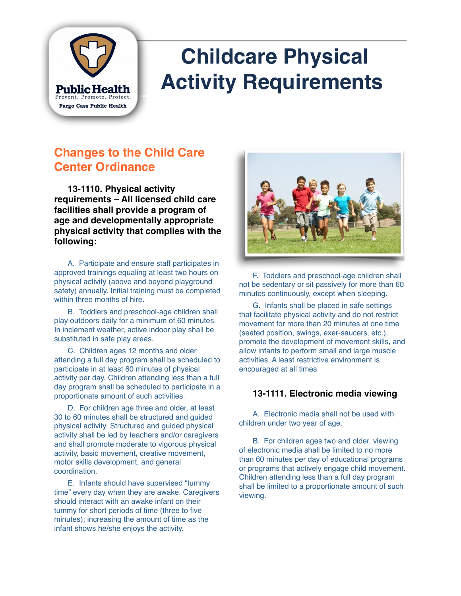

# **Childcare Physical Activity Requirements**

### **Changes to the Child Care Center Ordinance**

**13-1110. Physical activity requirements – All licensed child care facilities shall provide a program of age and developmentally appropriate physical activity that complies with the following:**

A. Participate and ensure staff participates in approved trainings equaling at least two hours on physical activity (above and beyond playground safety) annually. Initial training must be completed within three months of hire.

B. Toddlers and preschool-age children shall play outdoors daily for a minimum of 60 minutes. In inclement weather, active indoor play shall be substituted in safe play areas.

C. Children ages 12 months and older attending a full day program shall be scheduled to participate in at least 60 minutes of physical activity per day. Children attending less than a full day program shall be scheduled to participate in a proportionate amount of such activities.

D. For children age three and older, at least 30 to 60 minutes shall be structured and guided physical activity. Structured and guided physical activity shall be led by teachers and/or caregivers and shall promote moderate to vigorous physical activity, basic movement, creative movement, motor skills development, and general coordination.

E. Infants should have supervised "tummy time" every day when they are awake. Caregivers should interact with an awake infant on their tummy for short periods of time (three to five minutes); increasing the amount of time as the infant shows he/she enjoys the activity.



F. Toddlers and preschool-age children shall not be sedentary or sit passively for more than 60 minutes continuously, except when sleeping.

G. Infants shall be placed in safe settings that facilitate physical activity and do not restrict movement for more than 20 minutes at one time (seated position, swings, exer-saucers, etc.), promote the development of movement skills, and allow infants to perform small and large muscle activities. A least restrictive environment is encouraged at all times.

#### **13-1111. Electronic media viewing**

A. Electronic media shall not be used with children under two year of age.

B. For children ages two and older, viewing of electronic media shall be limited to no more than 60 minutes per day of educational programs or programs that actively engage child movement. Children attending less than a full day program shall be limited to a proportionate amount of such viewing.